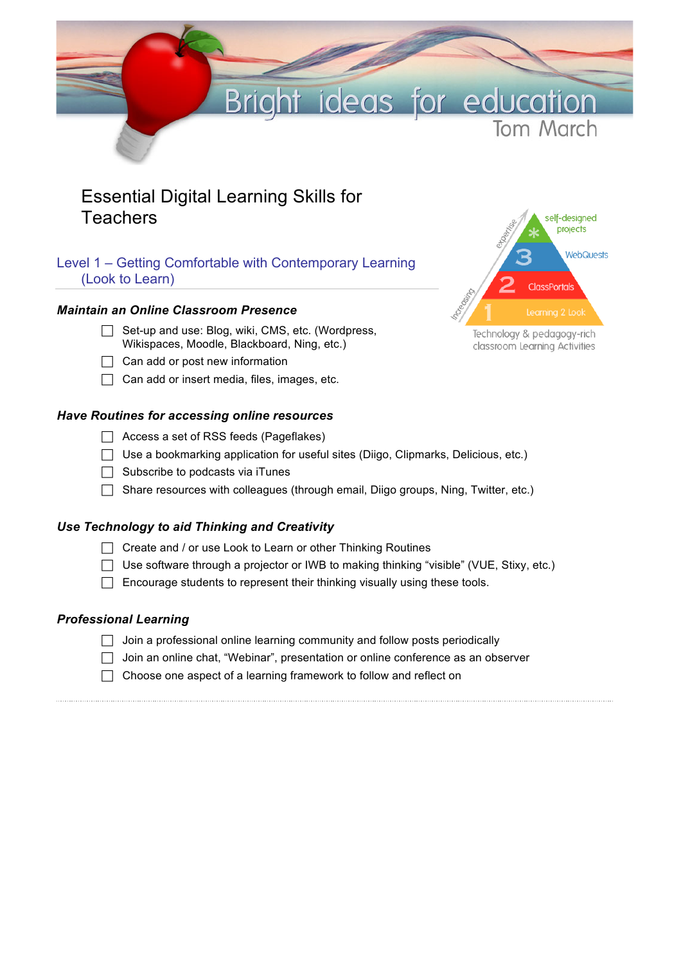

# Essential Digital Learning Skills for **Teachers**

# Level 1 – Getting Comfortable with Contemporary Learning (Look to Learn)

# *Maintain an Online Classroom Presence*

- $\Box$  Set-up and use: Blog, wiki, CMS, etc. (Wordpress, Wikispaces, Moodle, Blackboard, Ning, etc.)
- $\Box$  Can add or post new information
- $\Box$  Can add or insert media, files, images, etc.

# *Have Routines for accessing online resources*

- $\Box$  Access a set of RSS feeds (Pageflakes)
- $\Box$  Use a bookmarking application for useful sites (Diigo, Clipmarks, Delicious, etc.)
- $\Box$  Subscribe to podcasts via iTunes
- $\Box$  Share resources with colleagues (through email, Diigo groups, Ning, Twitter, etc.)

# *Use Technology to aid Thinking and Creativity*

- $\Box$  Create and / or use Look to Learn or other Thinking Routines
- $\Box$  Use software through a projector or IWB to making thinking "visible" (VUE, Stixy, etc.)
- $\Box$  Encourage students to represent their thinking visually using these tools.

# *Professional Learning*

- $\Box$  Join a professional online learning community and follow posts periodically
- $\Box$  Join an online chat, "Webinar", presentation or online conference as an observer
- $\Box$  Choose one aspect of a learning framework to follow and reflect on



Technology & pedagogy-rich classroom Learning Activities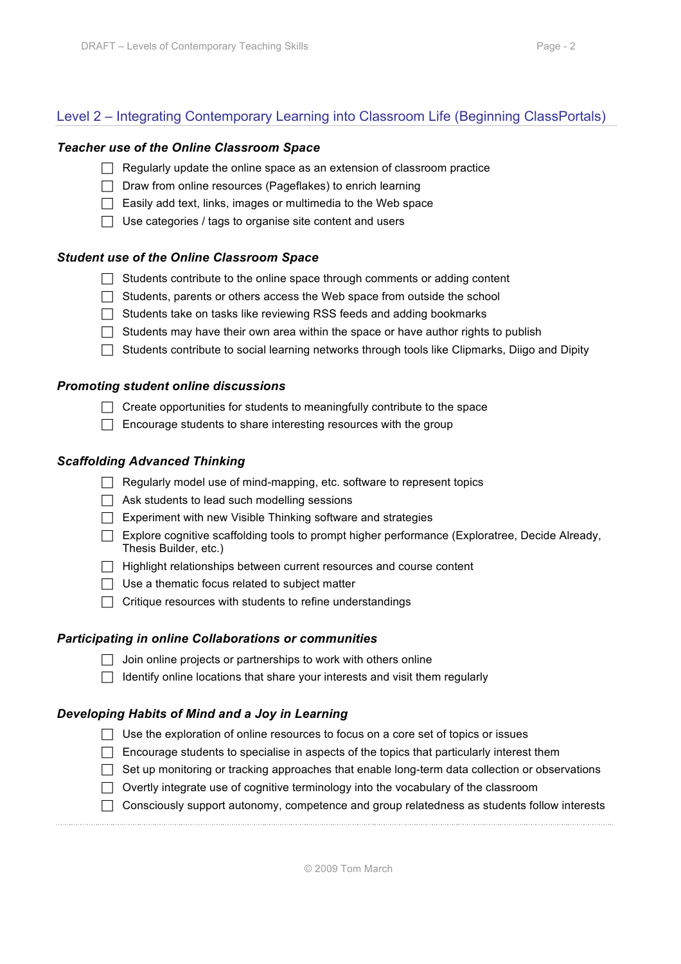# Level 2 – Integrating Contemporary Learning into Classroom Life (Beginning ClassPortals)

#### *Teacher use of the Online Classroom Space*

- $\Box$  Regularly update the online space as an extension of classroom practice
- $\Box$  Draw from online resources (Pageflakes) to enrich learning
- $\Box$  Easily add text, links, images or multimedia to the Web space
- $\Box$  Use categories / tags to organise site content and users

#### *Student use of the Online Classroom Space*

- $\Box$  Students contribute to the online space through comments or adding content
- $\Box$  Students, parents or others access the Web space from outside the school
- $\Box$  Students take on tasks like reviewing RSS feeds and adding bookmarks
- $\Box$  Students may have their own area within the space or have author rights to publish
- $\Box$  Students contribute to social learning networks through tools like Clipmarks, Diigo and Dipity

#### *Promoting student online discussions*

- $\Box$  Create opportunities for students to meaningfully contribute to the space
- $\Box$  Encourage students to share interesting resources with the group

#### *Scaffolding Advanced Thinking*

- $\Box$  Regularly model use of mind-mapping, etc. software to represent topics
- $\Box$  Ask students to lead such modelling sessions
- $\Box$  Experiment with new Visible Thinking software and strategies
- ! Explore cognitive scaffolding tools to prompt higher performance (Exploratree, Decide Already, Thesis Builder, etc.)
- $\Box$  Highlight relationships between current resources and course content
- $\Box$  Use a thematic focus related to subject matter
- $\Box$  Critique resources with students to refine understandings

#### *Participating in online Collaborations or communities*

- $\Box$  Join online projects or partnerships to work with others online
- $\Box$  Identify online locations that share your interests and visit them regularly

#### *Developing Habits of Mind and a Joy in Learning*

- $\Box$  Use the exploration of online resources to focus on a core set of topics or issues
- $\Box$  Encourage students to specialise in aspects of the topics that particularly interest them
- $\Box$  Set up monitoring or tracking approaches that enable long-term data collection or observations
- $\Box$  Overtly integrate use of cognitive terminology into the vocabulary of the classroom
- $\Box$  Consciously support autonomy, competence and group relatedness as students follow interests